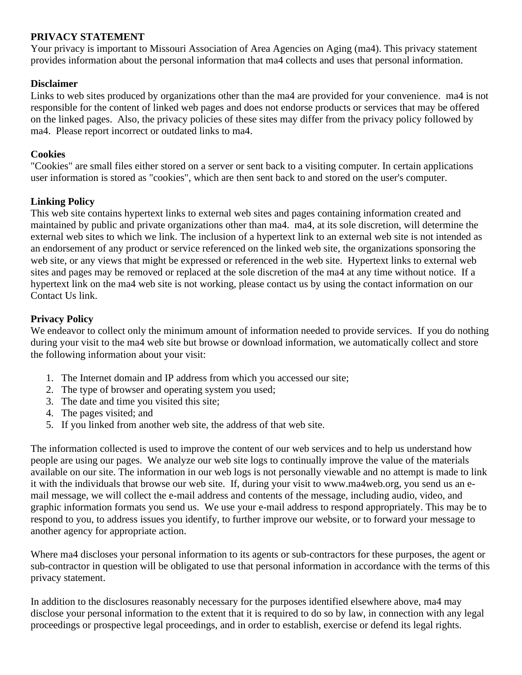# **PRIVACY STATEMENT**

Your privacy is important to Missouri Association of Area Agencies on Aging (ma4). This privacy statement provides information about the personal information that ma4 collects and uses that personal information.

### **Disclaimer**

Links to web sites produced by organizations other than the ma4 are provided for your convenience. ma4 is not responsible for the content of linked web pages and does not endorse products or services that may be offered on the linked pages. Also, the privacy policies of these sites may differ from the privacy policy followed by ma4. Please report incorrect or outdated links to ma4.

#### **Cookies**

"Cookies" are small files either stored on a server or sent back to a visiting computer. In certain applications user information is stored as "cookies", which are then sent back to and stored on the user's computer.

# **Linking Policy**

This web site contains hypertext links to external web sites and pages containing information created and maintained by public and private organizations other than ma4. ma4, at its sole discretion, will determine the external web sites to which we link. The inclusion of a hypertext link to an external web site is not intended as an endorsement of any product or service referenced on the linked web site, the organizations sponsoring the web site, or any views that might be expressed or referenced in the web site. Hypertext links to external web sites and pages may be removed or replaced at the sole discretion of the ma4 at any time without notice. If a hypertext link on the ma4 web site is not working, please contact us by using the contact information on our Contact Us link.

### **Privacy Policy**

We endeavor to collect only the minimum amount of information needed to provide services. If you do nothing during your visit to the ma4 web site but browse or download information, we automatically collect and store the following information about your visit:

- 1. The Internet domain and IP address from which you accessed our site;
- 2. The type of browser and operating system you used;
- 3. The date and time you visited this site;
- 4. The pages visited; and
- 5. If you linked from another web site, the address of that web site.

The information collected is used to improve the content of our web services and to help us understand how people are using our pages. We analyze our web site logs to continually improve the value of the materials available on our site. The information in our web logs is not personally viewable and no attempt is made to link it with the individuals that browse our web site. If, during your visit to www.ma4web.org, you send us an email message, we will collect the e-mail address and contents of the message, including audio, video, and graphic information formats you send us. We use your e-mail address to respond appropriately. This may be to respond to you, to address issues you identify, to further improve our website, or to forward your message to another agency for appropriate action.

Where ma4 discloses your personal information to its agents or sub-contractors for these purposes, the agent or sub-contractor in question will be obligated to use that personal information in accordance with the terms of this privacy statement.

In addition to the disclosures reasonably necessary for the purposes identified elsewhere above, ma4 may disclose your personal information to the extent that it is required to do so by law, in connection with any legal proceedings or prospective legal proceedings, and in order to establish, exercise or defend its legal rights.